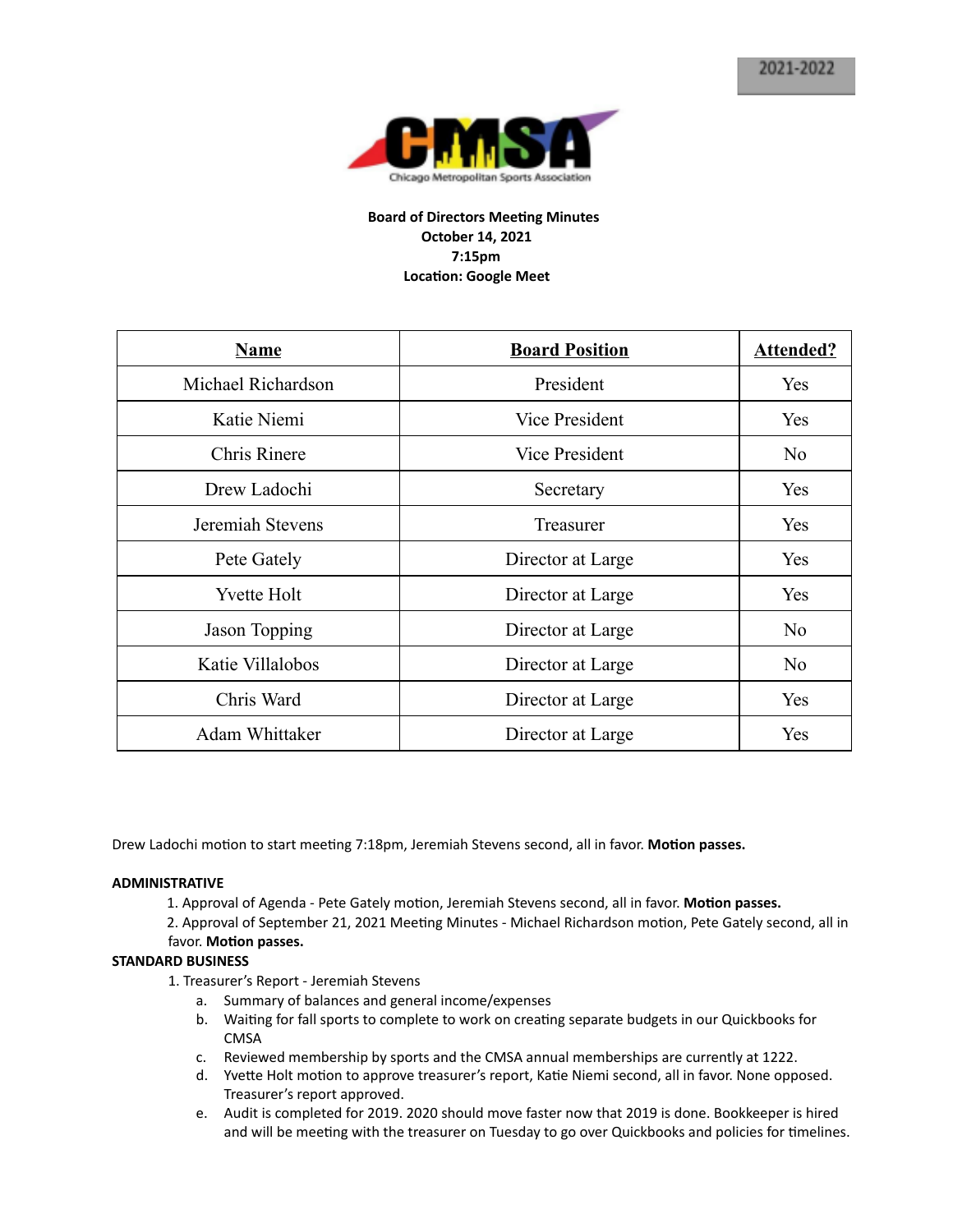

# **Board of Directors Meeting Minutes October 14, 2021 7:15pm Location: Google Meet**

| <b>Name</b>        | <b>Board Position</b> | <b>Attended?</b> |
|--------------------|-----------------------|------------------|
| Michael Richardson | President             | Yes              |
| Katie Niemi        | <b>Vice President</b> | Yes              |
| Chris Rinere       | <b>Vice President</b> | N <sub>o</sub>   |
| Drew Ladochi       | Secretary             | <b>Yes</b>       |
| Jeremiah Stevens   | <b>Treasurer</b>      | Yes              |
| Pete Gately        | Director at Large     | Yes              |
| <b>Yvette Holt</b> | Director at Large     | Yes              |
| Jason Topping      | Director at Large     | No               |
| Katie Villalobos   | Director at Large     | No               |
| Chris Ward         | Director at Large     | Yes              |
| Adam Whittaker     | Director at Large     | Yes              |

Drew Ladochi motion to start meeting 7:18pm, Jeremiah Stevens second, all in favor. Motion passes.

#### **ADMINISTRATIVE**

1. Approval of Agenda - Pete Gately motion, Jeremiah Stevens second, all in favor. Motion passes.

2. Approval of September 21, 2021 Meeting Minutes - Michael Richardson motion, Pete Gately second, all in favor. Motion passes.

#### **STANDARD BUSINESS**

1. Treasurer's Report - Jeremiah Stevens

- a. Summary of balances and general income/expenses
- b. Waiting for fall sports to complete to work on creating separate budgets in our Quickbooks for CMSA
- c. Reviewed membership by sports and the CMSA annual memberships are currently at 1222.
- d. Yvette Holt motion to approve treasurer's report, Katie Niemi second, all in favor. None opposed. Treasurer's report approved.
- e. Audit is completed for 2019. 2020 should move faster now that 2019 is done. Bookkeeper is hired and will be meeting with the treasurer on Tuesday to go over Quickbooks and policies for timelines.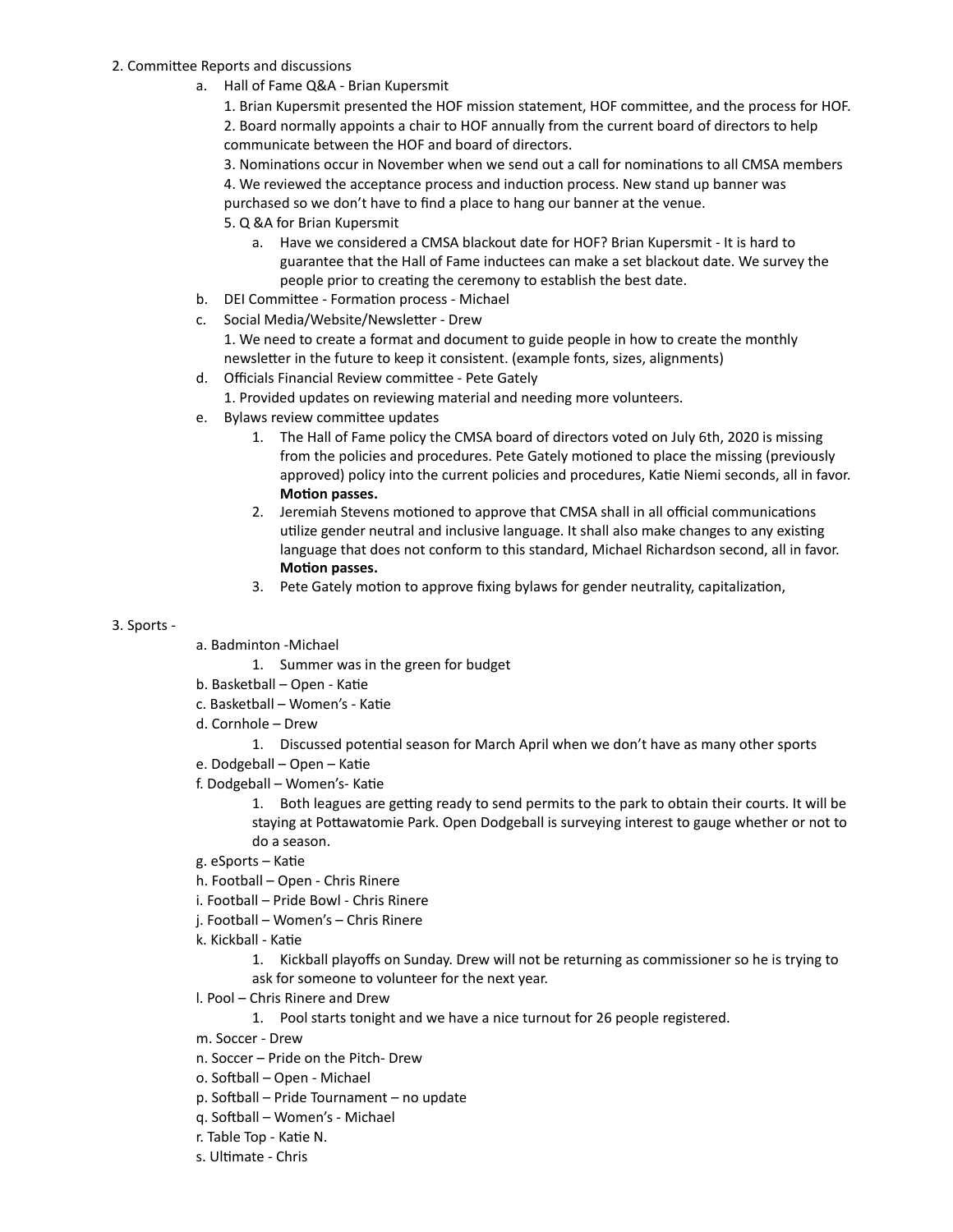## 2. Committee Reports and discussions

a. Hall of Fame Q&A - Brian Kupersmit

1. Brian Kupersmit presented the HOF mission statement, HOF committee, and the process for HOF. 2. Board normally appoints a chair to HOF annually from the current board of directors to help communicate between the HOF and board of directors.

3. Nominations occur in November when we send out a call for nominations to all CMSA members

4. We reviewed the acceptance process and induction process. New stand up banner was

purchased so we don't have to find a place to hang our banner at the venue.

- 5. Q &A for Brian Kupersmit
	- a. Have we considered a CMSA blackout date for HOF? Brian Kupersmit It is hard to guarantee that the Hall of Fame inductees can make a set blackout date. We survey the people prior to creating the ceremony to establish the best date.
- b. DEI Committee Formation process Michael
- c. Social Media/Website/Newsletter Drew

1. We need to create a format and document to guide people in how to create the monthly newsletter in the future to keep it consistent. (example fonts, sizes, alignments)

d. Officials Financial Review committee - Pete Gately

1. Provided updates on reviewing material and needing more volunteers.

- e. Bylaws review committee updates
	- 1. The Hall of Fame policy the CMSA board of directors voted on July 6th, 2020 is missing from the policies and procedures. Pete Gately motioned to place the missing (previously approved) policy into the current policies and procedures, Katie Niemi seconds, all in favor. **Motion** passes.
	- 2. Jeremiah Stevens motioned to approve that CMSA shall in all official communications utilize gender neutral and inclusive language. It shall also make changes to any existing language that does not conform to this standard, Michael Richardson second, all in favor. **Motion** passes.
	- 3. Pete Gately motion to approve fixing bylaws for gender neutrality, capitalization,

## 3. Sports -

a. Badminton -Michael

1. Summer was in the green for budget

- b. Basketball Open Katie
- c. Basketball Women's Katie
- d. Cornhole Drew
	- 1. Discussed potential season for March April when we don't have as many other sports
- e. Dodgeball Open Katie
- f. Dodgeball Women's- Katie

1. Both leagues are getting ready to send permits to the park to obtain their courts. It will be staying at Pottawatomie Park. Open Dodgeball is surveying interest to gauge whether or not to do a season.

- g. eSports Katie
- h. Football Open Chris Rinere
- i. Football Pride Bowl Chris Rinere
- j. Football Women's Chris Rinere
- k. Kickball Katie

1. Kickball playoffs on Sunday. Drew will not be returning as commissioner so he is trying to ask for someone to volunteer for the next year.

- l. Pool Chris Rinere and Drew
	- 1. Pool starts tonight and we have a nice turnout for 26 people registered.
- m. Soccer Drew
- n. Soccer Pride on the Pitch- Drew
- o. Softball Open Michael
- $p.$  Softball Pride Tournament no update
- q. Softball Women's Michael
- r. Table Top Katie N.
- s. Ultimate Chris